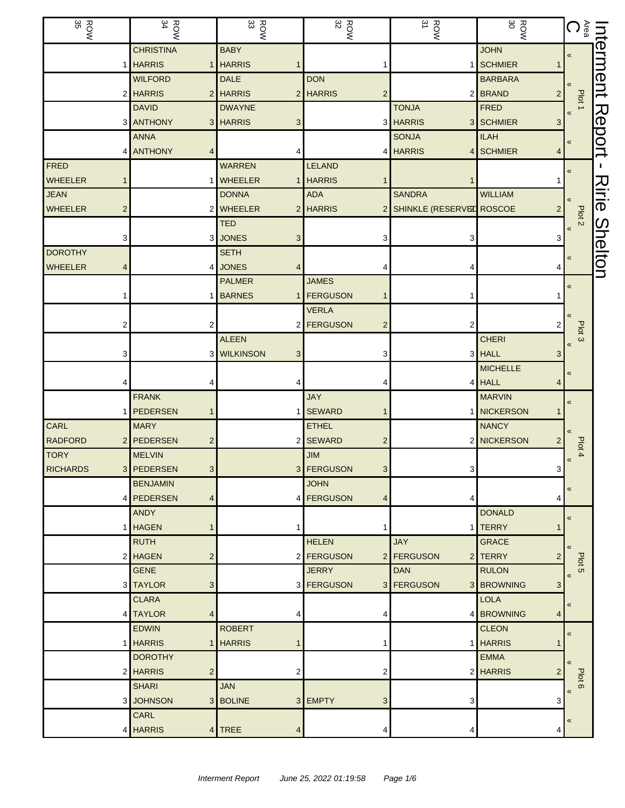| ROW<br>35       |                | ROW<br>34                       | $\frac{ROW}{33}$            | $\frac{ROW}{32}$         | $\frac{ROW}{31}$         | ROW<br>30                   | $\bigodot$                    | Interment     |
|-----------------|----------------|---------------------------------|-----------------------------|--------------------------|--------------------------|-----------------------------|-------------------------------|---------------|
|                 |                | <b>CHRISTINA</b>                | <b>BABY</b>                 |                          |                          | <b>JOHN</b>                 | «                             |               |
|                 |                | 1 HARRIS                        | 1 HARRIS                    |                          |                          | 1 SCHMIER                   |                               |               |
|                 |                | <b>WILFORD</b>                  | <b>DALE</b>                 | <b>DON</b>               |                          | <b>BARBARA</b>              |                               |               |
|                 |                | 2 HARRIS                        | 2 HARRIS                    | 2 HARRIS<br>2            |                          | 2 BRAND<br>2                | Plot 1                        |               |
|                 |                | <b>DAVID</b>                    | <b>DWAYNE</b>               |                          | <b>TONJA</b>             | <b>FRED</b>                 | $\pmb{\langle} \pmb{\langle}$ |               |
|                 |                | 3 ANTHONY                       | 3 HARRIS<br>3               |                          | 3 HARRIS                 | 3 SCHMIER<br>3              |                               | <b>Report</b> |
|                 |                | <b>ANNA</b>                     |                             |                          | <b>SONJA</b>             | <b>ILAH</b>                 | «                             |               |
|                 |                | 4 ANTHONY<br>4                  |                             |                          | 4 HARRIS                 | 4 SCHMIER<br>4              |                               |               |
| <b>FRED</b>     |                |                                 | <b>WARREN</b>               | <b>LELAND</b>            |                          |                             | «                             |               |
| <b>WHEELER</b>  |                |                                 | 1 WHEELER                   | 1 HARRIS                 |                          |                             |                               | $\lambda$     |
| <b>JEAN</b>     |                |                                 | <b>DONNA</b>                | <b>ADA</b>               | <b>SANDRA</b>            | <b>WILLIAM</b>              |                               | irie          |
| <b>WHEELER</b>  | 2              |                                 | 2 WHEELER<br>$\overline{2}$ | <b>HARRIS</b><br>2       | SHINKLE (RESERVED ROSCOE | 2                           | Plot <sub>2</sub>             |               |
|                 |                |                                 | <b>TED</b>                  |                          |                          |                             | $\pmb{\langle} \pmb{\langle}$ |               |
|                 | 3              |                                 | 3 JONES<br>3                | 3                        | 3                        | 3                           |                               |               |
| <b>DOROTHY</b>  |                |                                 | <b>SETH</b>                 |                          |                          |                             | «                             | Shelton       |
| <b>WHEELER</b>  |                |                                 | 4 JONES                     |                          |                          |                             |                               |               |
|                 |                |                                 | <b>PALMER</b>               | <b>JAMES</b>             |                          |                             | $\pmb{\kappa}$                |               |
|                 |                |                                 | <b>BARNES</b><br>1          | <b>FERGUSON</b>          |                          |                             |                               |               |
|                 |                |                                 |                             | <b>VERLA</b>             |                          |                             |                               |               |
|                 | 2              | 2                               |                             | 2 FERGUSON               | 2                        |                             | Plot <sub>3</sub>             |               |
|                 |                |                                 | <b>ALEEN</b>                |                          |                          | <b>CHERI</b>                | $\pmb{\ll}$                   |               |
|                 | 3              |                                 | 3 WILKINSON<br>3            | 3                        |                          | 3 HALL                      |                               |               |
|                 |                |                                 |                             |                          |                          | <b>MICHELLE</b>             | «                             |               |
|                 |                |                                 |                             |                          |                          | 4 HALL                      |                               |               |
|                 |                | <b>FRANK</b>                    |                             | <b>JAY</b>               |                          | <b>MARVIN</b>               | $\langle \langle$             |               |
| <b>CARL</b>     |                | <b>PEDERSEN</b><br><b>MARY</b>  |                             | 1 SEWARD<br><b>ETHEL</b> |                          | 1 NICKERSON<br><b>NANCY</b> |                               |               |
| <b>RADFORD</b>  | $\overline{2}$ | <b>PEDERSEN</b>                 |                             | 2 SEWARD                 |                          | 2 NICKERSON                 |                               |               |
| <b>TORY</b>     |                | $\overline{c}$<br><b>MELVIN</b> |                             | <b>JIM</b>               |                          |                             | Plot 4                        |               |
| <b>RICHARDS</b> |                | 3 PEDERSEN<br>$\mathbf{3}$      |                             | 3 FERGUSON<br>3          | 3                        | 3                           | «                             |               |
|                 |                | <b>BENJAMIN</b>                 |                             | <b>JOHN</b>              |                          |                             |                               |               |
|                 |                | 4 <b>PEDERSEN</b><br>4          |                             | 4 <b>FERGUSON</b><br>4   | 4                        | 4                           | «                             |               |
|                 |                | <b>ANDY</b>                     |                             |                          |                          | <b>DONALD</b>               |                               |               |
|                 |                | 1 HAGEN<br>1                    | 1                           |                          |                          | 1 TERRY                     | $\pmb{\ll}$                   |               |
|                 |                | <b>RUTH</b>                     |                             | <b>HELEN</b>             | <b>JAY</b>               | <b>GRACE</b>                |                               |               |
|                 |                | 2 HAGEN<br>$\overline{c}$       |                             | 2 FERGUSON               | 2 FERGUSON               | 2 TERRY<br>2                | «                             |               |
|                 |                | <b>GENE</b>                     |                             | <b>JERRY</b>             | <b>DAN</b>               | <b>RULON</b>                | Plot <sub>5</sub>             |               |
|                 |                | 3 TAYLOR<br>3                   |                             | 3 FERGUSON               | 3 FERGUSON               | 3 BROWNING<br>3             | «                             |               |
|                 |                | <b>CLARA</b>                    |                             |                          |                          | <b>LOLA</b>                 |                               |               |
|                 |                | 4 TAYLOR<br>$\overline{4}$      | 4                           | 4                        |                          | 4 BROWNING<br>4             | «                             |               |
|                 |                | <b>EDWIN</b>                    | <b>ROBERT</b>               |                          |                          | <b>CLEON</b>                |                               |               |
|                 |                | 1 HARRIS                        | 1 HARRIS                    |                          |                          | 1 HARRIS                    | $\pmb{\ll}$                   |               |
|                 |                | <b>DOROTHY</b>                  |                             |                          |                          | <b>EMMA</b>                 |                               |               |
|                 |                | 2 HARRIS<br>$\overline{2}$      | 2                           | 2                        |                          | 2 HARRIS                    | $\langle$                     |               |
|                 |                | <b>SHARI</b>                    | <b>JAN</b>                  |                          |                          |                             | Plot 6                        |               |
|                 | 3              | <b>JOHNSON</b>                  | 3 BOLINE                    | 3 EMPTY<br>3             | 3                        | 3                           | $\pmb{\ll}$                   |               |
|                 |                | CARL                            |                             |                          |                          |                             |                               |               |
|                 |                | 4 HARRIS                        | 4 TREE<br>4                 |                          | 4                        | 4                           | «                             |               |
|                 |                |                                 |                             |                          |                          |                             |                               |               |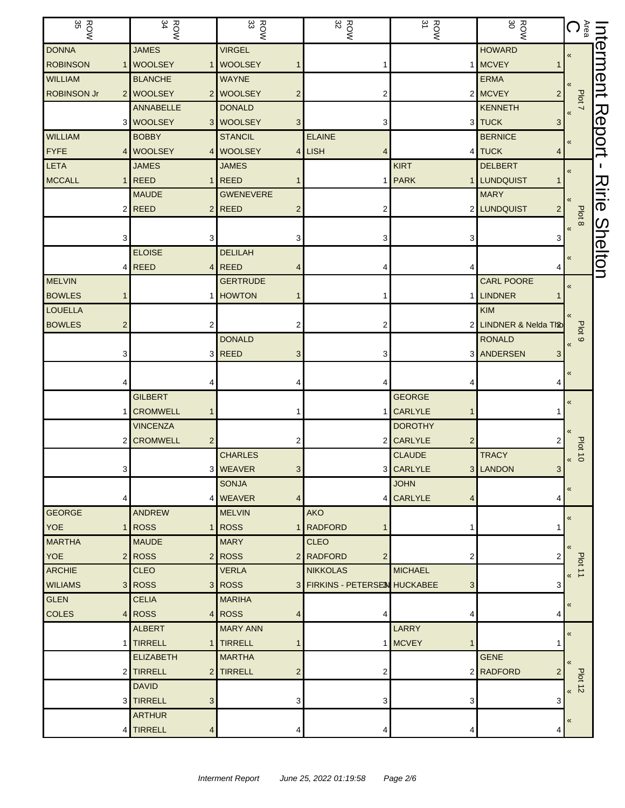| $\frac{ROW}{35}$   | ROW<br>34                             | $\frac{ROW}{33}$                   | $\begin{array}{c}\n\text{RON} \\ \text{22}\n\end{array}$ | $\frac{ROW}{31}$    | ROW<br>30                 | $\bigcup_{\substack{a \in \mathbb{Z} \\ a \neq b}}$ | Interment                      |
|--------------------|---------------------------------------|------------------------------------|----------------------------------------------------------|---------------------|---------------------------|-----------------------------------------------------|--------------------------------|
| <b>DONNA</b>       | <b>JAMES</b>                          | <b>VIRGEL</b>                      |                                                          |                     | <b>HOWARD</b>             | $\pmb{\ll}$                                         |                                |
| <b>ROBINSON</b>    | <b>WOOLSEY</b><br>1 <sup>1</sup>      | 1 WOOLSEY                          |                                                          |                     | 1 MCVEY                   |                                                     |                                |
| <b>WILLIAM</b>     | <b>BLANCHE</b>                        | <b>WAYNE</b>                       |                                                          |                     | <b>ERMA</b>               |                                                     |                                |
| <b>ROBINSON Jr</b> | 2 WOOLSEY                             | 2 WOOLSEY<br>2                     |                                                          |                     | 2 MCVEY<br>$\overline{2}$ | Plot 7                                              |                                |
|                    | ANNABELLE                             | <b>DONALD</b>                      |                                                          |                     | <b>KENNETH</b>            |                                                     |                                |
|                    | <b>WOOLSEY</b><br>31                  | 3 WOOLSEY<br>3                     | 3                                                        |                     | 3 TUCK<br>3               |                                                     | <b>Report</b>                  |
| <b>WILLIAM</b>     | <b>BOBBY</b>                          | <b>STANCIL</b>                     | <b>ELAINE</b>                                            |                     | <b>BERNICE</b>            | $\pmb{\ll}$                                         |                                |
| <b>FYFE</b>        | 4 WOOLSEY                             | 4 WOOLSEY                          | $4$ LISH                                                 |                     | 4 TUCK                    |                                                     |                                |
| LETA               | <b>JAMES</b>                          | <b>JAMES</b>                       |                                                          | <b>KIRT</b>         | <b>DELBERT</b>            | $\pmb{\langle} \pmb{\langle}$                       |                                |
| <b>MCCALL</b>      | <b>REED</b><br>1                      | <b>REED</b>                        |                                                          | <b>PARK</b>         | 1 LUNDQUIST               |                                                     | 刀                              |
|                    | <b>MAUDE</b>                          | <b>GWENEVERE</b>                   |                                                          |                     | <b>MARY</b>               |                                                     | $\overline{\overline{\theta}}$ |
|                    | $2$ REED                              | $2$ REED<br>2                      |                                                          |                     | 2 LUNDQUIST               | Plot 8                                              |                                |
|                    |                                       |                                    |                                                          |                     |                           | $\pmb{\langle} \pmb{\langle}$                       |                                |
|                    | 3<br>з                                | 3                                  |                                                          | 3                   |                           |                                                     |                                |
|                    | <b>ELOISE</b>                         | <b>DELILAH</b>                     |                                                          |                     |                           | «                                                   | Shelton                        |
|                    | <b>REED</b><br>4                      | <b>REED</b><br>$\overline{4}$<br>4 |                                                          |                     |                           |                                                     |                                |
| <b>MELVIN</b>      |                                       | <b>GERTRUDE</b>                    |                                                          |                     | <b>CARL POORE</b>         | «                                                   |                                |
| <b>BOWLES</b>      |                                       | <b>HOWTON</b>                      |                                                          |                     | 1 LINDNER                 |                                                     |                                |
| <b>LOUELLA</b>     |                                       |                                    |                                                          |                     | <b>KIM</b>                |                                                     |                                |
| <b>BOWLES</b>      | 2<br>2                                | 2                                  | 2                                                        |                     | 2 LINDNER & Nelda Tho     | Plot <sub>9</sub>                                   |                                |
|                    |                                       | <b>DONALD</b>                      |                                                          |                     | <b>RONALD</b>             | $\overline{\mathbf{K}}$                             |                                |
|                    | 3                                     | 3 REED<br>3                        | 3                                                        |                     | 3 ANDERSEN                |                                                     |                                |
|                    |                                       |                                    |                                                          |                     |                           | $\pmb{\ll}$                                         |                                |
|                    | <b>GILBERT</b>                        |                                    |                                                          | <b>GEORGE</b>       |                           |                                                     |                                |
|                    | <b>CROMWELL</b><br>1                  |                                    |                                                          | <b>CARLYLE</b>      |                           | $\overline{\mathbf{K}}$                             |                                |
|                    | <b>VINCENZA</b>                       |                                    |                                                          | <b>DOROTHY</b>      |                           |                                                     |                                |
|                    | <b>CROMWELL</b><br>$\overline{2}$     | 2                                  |                                                          | 2 CARLYLE<br>2      |                           |                                                     |                                |
|                    |                                       | <b>CHARLES</b>                     |                                                          | <b>CLAUDE</b>       | <b>TRACY</b>              | $\frac{100 \text{ to } 10}{\text{ to } 100}$        |                                |
|                    | 3.                                    | 3 WEAVER<br>3 <sup>1</sup>         |                                                          | 3 CARLYLE           | 3 LANDON<br>3             |                                                     |                                |
|                    |                                       | <b>SONJA</b>                       |                                                          | <b>JOHN</b>         |                           |                                                     |                                |
|                    | 4                                     | 4 WEAVER<br>$\overline{4}$         | 4                                                        | <b>CARLYLE</b><br>4 | 4                         | «                                                   |                                |
| <b>GEORGE</b>      | <b>ANDREW</b>                         | <b>MELVIN</b>                      | <b>AKO</b>                                               |                     |                           | $\pmb{\langle} \pmb{\langle}$                       |                                |
| <b>YOE</b>         | <b>ROSS</b><br>1                      | 1 ROSS                             | 1 RADFORD                                                |                     |                           |                                                     |                                |
| <b>MARTHA</b>      | <b>MAUDE</b>                          | <b>MARY</b>                        | <b>CLEO</b>                                              |                     |                           | $\alpha$                                            |                                |
| <b>YOE</b>         | $2$ ROSS                              | 2 ROSS                             | 2 RADFORD<br>$\overline{2}$                              | 2                   | 2                         |                                                     |                                |
| <b>ARCHIE</b>      | <b>CLEO</b>                           | <b>VERLA</b>                       | <b>NIKKOLAS</b>                                          | <b>MICHAEL</b>      |                           | Plot 11<br>$\pmb{\langle} \pmb{\langle}$            |                                |
| <b>WILIAMS</b>     | <b>ROSS</b><br>3 <sup>1</sup>         | 3 ROSS                             | 3 FIRKINS - PETERSEN HUCKABEE                            | 3                   | 3                         |                                                     |                                |
| <b>GLEN</b>        | <b>CELIA</b>                          | <b>MARIHA</b>                      |                                                          |                     |                           | $\pmb{\ll}$                                         |                                |
| <b>COLES</b>       | $4$ ROSS                              | 4 ROSS<br>4                        | 4                                                        | 4                   | 4                         |                                                     |                                |
|                    | <b>ALBERT</b>                         | <b>MARY ANN</b>                    |                                                          | LARRY               |                           | $\pmb{\langle} \pmb{\langle}$                       |                                |
|                    | <b>TIRRELL</b><br>1                   | 1 TIRRELL                          |                                                          | 1 MCVEY<br>1        |                           |                                                     |                                |
|                    | <b>ELIZABETH</b>                      | <b>MARTHA</b>                      |                                                          |                     | <b>GENE</b>               | $\langle \langle$                                   |                                |
|                    | 2 TIRRELL                             | 2 TIRRELL<br>2                     |                                                          |                     | 2 RADFORD                 | Plot 12<br>$\overline{5}$                           |                                |
|                    | <b>DAVID</b>                          |                                    |                                                          |                     |                           |                                                     |                                |
|                    | <b>TIRRELL</b><br>3 <sup>1</sup><br>3 | 3                                  | 3                                                        | 3                   | 3                         |                                                     |                                |
|                    | <b>ARTHUR</b>                         |                                    |                                                          |                     |                           | $\pmb{\ll}$                                         |                                |
|                    | 4 TIRRELL<br>4                        | 4                                  | 4                                                        | 4                   | 4                         |                                                     |                                |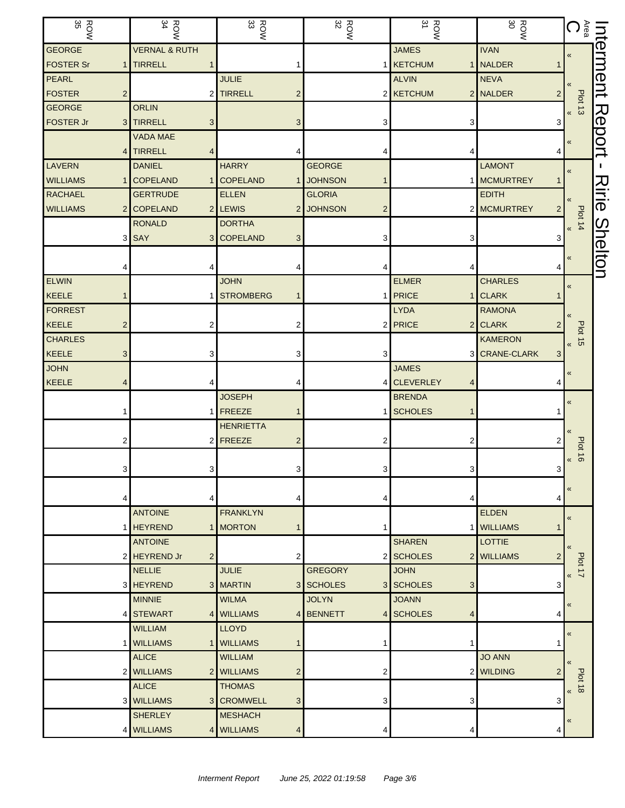| <b>ROW</b><br>35 | ROW<br>34                             | $\frac{ROW}{33}$             | <b>ROW</b>                  | $\frac{ROW}{31}$             | <b>ROW</b>                 | $\sum_{\tilde{a}}^{\tilde{a}}$    | lnt            |
|------------------|---------------------------------------|------------------------------|-----------------------------|------------------------------|----------------------------|-----------------------------------|----------------|
| <b>GEORGE</b>    | <b>VERNAL &amp; RUTH</b>              |                              |                             | <b>JAMES</b>                 | <b>IVAN</b>                | $\pmb{\mathfrak{C}}$              | erment         |
| <b>FOSTER Sr</b> | <b>TIRRELL</b>                        |                              |                             | KETCHUM                      | 1 NALDER                   |                                   |                |
| PEARL            |                                       | <b>JULIE</b>                 |                             | <b>ALVIN</b>                 | <b>NEVA</b>                |                                   |                |
| <b>FOSTER</b>    | $\overline{2}$                        | 2 TIRRELL<br>$\overline{c}$  |                             | 2 KETCHUM                    | 2 NALDER<br>$\overline{2}$ | Plot 13                           |                |
| <b>GEORGE</b>    | <b>ORLIN</b>                          |                              |                             |                              |                            |                                   |                |
| <b>FOSTER Jr</b> | <b>TIRRELL</b><br>3 <sup>1</sup><br>3 | 3                            | з                           | 3                            | 3                          |                                   | Report         |
|                  | <b>VADA MAE</b>                       |                              |                             |                              |                            | $\pmb{\ll}$                       |                |
|                  | 4 TIRRELL<br>4                        |                              |                             | 4                            |                            |                                   |                |
| <b>LAVERN</b>    | <b>DANIEL</b>                         | <b>HARRY</b>                 | <b>GEORGE</b>               |                              | <b>LAMONT</b>              | $\pmb{\langle} \pmb{\langle}$     |                |
| <b>WILLIAMS</b>  | <b>COPELAND</b><br>1                  | 1 COPELAND                   | 1 JOHNSON                   |                              | 1 MCMURTREY                |                                   |                |
| <b>RACHAEL</b>   | <b>GERTRUDE</b>                       | <b>ELLEN</b>                 | <b>GLORIA</b>               |                              | <b>EDITH</b>               |                                   | スミー            |
| <b>WILLIAMS</b>  | 2 COPELAND                            | 2 LEWIS                      | 2 JOHNSON<br>2              |                              | 2 MCMURTREY                | Plot 14                           |                |
|                  | <b>RONALD</b>                         | <b>DORTHA</b>                |                             |                              |                            |                                   |                |
|                  | SAY<br>3                              | 3 COPELAND<br>3              | З                           | 3                            |                            |                                   |                |
|                  |                                       |                              |                             |                              |                            | $\pmb{\ll}$                       | <b>Shelton</b> |
|                  |                                       |                              |                             |                              |                            |                                   |                |
| <b>ELWIN</b>     |                                       | <b>JOHN</b>                  |                             | <b>ELMER</b>                 | <b>CHARLES</b>             | «                                 |                |
| KEELE            |                                       | <b>STROMBERG</b><br>1        |                             | <b>PRICE</b><br>$\mathbf{1}$ | <b>CLARK</b>               |                                   |                |
| <b>FORREST</b>   |                                       |                              |                             | <b>LYDA</b>                  | <b>RAMONA</b>              |                                   |                |
| KEELE            | $\overline{2}$<br>2                   | 2                            |                             | 2 PRICE                      | 2 CLARK                    |                                   |                |
| <b>CHARLES</b>   |                                       |                              |                             |                              | <b>KAMERON</b>             | <b>Plot 15</b><br>$\pmb{\langle}$ |                |
| KEELE            | 3                                     | 3<br>3                       | З                           |                              | 3 CRANE-CLARK<br>3         |                                   |                |
| <b>JOHN</b>      |                                       |                              |                             | <b>JAMES</b>                 |                            | $\pmb{\langle} \pmb{\langle}$     |                |
| KEELE            | 4                                     | 4                            | 4                           | <b>CLEVERLEY</b><br>4        |                            |                                   |                |
|                  |                                       | <b>JOSEPH</b>                |                             | <b>BRENDA</b>                |                            | $\pmb{\langle} \pmb{\langle}$     |                |
|                  |                                       | 1 FREEZE<br>$\mathbf{1}$     |                             | <b>SCHOLES</b>               |                            |                                   |                |
|                  |                                       | <b>HENRIETTA</b>             |                             |                              |                            |                                   |                |
|                  | 2                                     | 2 FREEZE<br>2                | 2                           | 2                            |                            | <b>Plot 16</b>                    |                |
|                  |                                       |                              |                             |                              |                            | $\pmb{\langle}$                   |                |
|                  | 3                                     | 3<br>3                       | 3                           | 3                            | 3                          |                                   |                |
|                  |                                       |                              |                             |                              |                            | $\pmb{\langle} \pmb{\langle}$     |                |
|                  | 4                                     | 4<br>4                       |                             | 4                            | 4                          |                                   |                |
|                  | <b>ANTOINE</b>                        | <b>FRANKLYN</b>              |                             |                              | <b>ELDEN</b>               | $\pmb{\langle} \pmb{\langle}$     |                |
|                  | <b>HEYREND</b><br>1                   | 1   MORTON<br>1              |                             |                              | 1 WILLIAMS                 |                                   |                |
|                  | <b>ANTOINE</b>                        |                              |                             | <b>SHAREN</b>                | <b>LOTTIE</b>              | $\langle \langle$                 |                |
|                  | <b>HEYREND Jr</b><br>$\overline{2}$   | 2<br>$\overline{2}$          |                             | 2 SCHOLES                    | 2 WILLIAMS                 | Plot 17                           |                |
|                  | <b>NELLIE</b>                         | <b>JULIE</b>                 | <b>GREGORY</b>              | <b>JOHN</b>                  |                            | $\pmb{\kappa}$                    |                |
|                  | 3 HEYREND                             | 3 MARTIN                     | 3 SCHOLES                   | 3 SCHOLES<br>3               | 3                          |                                   |                |
|                  | <b>MINNIE</b>                         | <b>WILMA</b>                 | <b>JOLYN</b>                | <b>JOANN</b>                 |                            | $\pmb{\langle} \pmb{\langle}$     |                |
|                  | <b>STEWART</b><br>$\vert 4 \vert$     | 4 WILLIAMS                   | 4 BENNETT<br>4 <sup>1</sup> | <b>SCHOLES</b><br>4          | 4                          |                                   |                |
|                  | <b>WILLIAM</b>                        | <b>LLOYD</b>                 |                             |                              |                            | $\pmb{\ll}$                       |                |
|                  | <b>WILLIAMS</b>                       | 1   WILLIAMS                 |                             | 1                            |                            |                                   |                |
|                  | <b>ALICE</b>                          | <b>WILLIAM</b>               |                             |                              | <b>JO ANN</b>              | $\langle \langle$                 |                |
|                  | 2 <sub>1</sub><br><b>WILLIAMS</b>     | 2 WILLIAMS<br>$\overline{c}$ | 2                           |                              | 2 WILDING                  | <b>Plot 18</b>                    |                |
|                  | <b>ALICE</b>                          | <b>THOMAS</b>                |                             |                              |                            | $\pmb{\langle}$                   |                |
|                  | <b>WILLIAMS</b><br>3 <sup>1</sup>     | 3 CROMWELL<br>3              | 3                           | 3                            | 3                          |                                   |                |
|                  | <b>SHERLEY</b>                        | <b>MESHACH</b>               |                             |                              |                            | «                                 |                |
|                  | 4 WILLIAMS                            | 4 WILLIAMS<br>4              |                             | 4                            | Δ                          |                                   |                |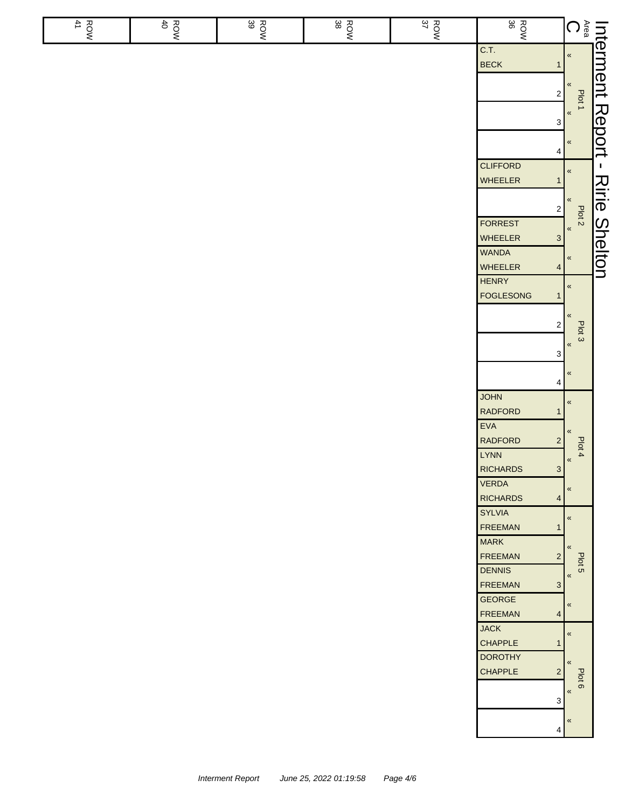| ROW<br>41 | <b>ROW</b> | ROW<br>39 | ROW<br>38 | ROW<br>37 | ROW<br>8                                          | $\bigodot^\mathbb{R}_\mathbb{B}$ |                  |
|-----------|------------|-----------|-----------|-----------|---------------------------------------------------|----------------------------------|------------------|
|           |            |           |           |           | C.T.<br><b>BECK</b><br>1                          | $\pmb{\kappa}$                   | Interment Report |
|           |            |           |           |           |                                                   | $\pmb{\ll}$                      |                  |
|           |            |           |           |           | $\mathbf 2$                                       | Plot 1<br>$\pmb{\kappa}$         |                  |
|           |            |           |           |           | $\ensuremath{\mathsf{3}}$                         |                                  |                  |
|           |            |           |           |           | 4                                                 | $\pmb{\kappa}$                   |                  |
|           |            |           |           |           | <b>CLIFFORD</b>                                   | $\pmb{\kappa}$                   | $\mathbf{I}$     |
|           |            |           |           |           | WHEELER<br>1                                      |                                  | Ririe            |
|           |            |           |           |           | $\sqrt{2}$                                        | $\,\,\ll$<br>Plot <sub>2</sub>   |                  |
|           |            |           |           |           | FORREST<br>WHEELER<br>$\mathbf{3}$                | $\pmb{\alpha}$                   | <b>Shelton</b>   |
|           |            |           |           |           | <b>WANDA</b>                                      | $\,\alpha$                       |                  |
|           |            |           |           |           | WHEELER<br>$\overline{4}$<br><b>HENRY</b>         |                                  |                  |
|           |            |           |           |           | FOGLESONG<br>$\mathbf 1$                          | $\pmb{\ll}$                      |                  |
|           |            |           |           |           | $\sqrt{2}$                                        | «                                |                  |
|           |            |           |           |           |                                                   | Plot 3<br>$\pmb{\kappa}$         |                  |
|           |            |           |           |           | $\ensuremath{\mathsf{3}}$                         |                                  |                  |
|           |            |           |           |           | 4                                                 | $\pmb{\ll}$                      |                  |
|           |            |           |           |           | <b>JOHN</b><br>RADFORD<br>$\mathbf 1$             | $\pmb{\ll}$                      |                  |
|           |            |           |           |           | EVA                                               | «                                |                  |
|           |            |           |           |           | <b>RADFORD</b><br>$\sqrt{2}$<br>LYNN              | Plot 4<br>$\pmb{\kappa}$         |                  |
|           |            |           |           |           | RICHARDS<br>$\mathbf{3}$                          |                                  |                  |
|           |            |           |           |           | <b>VERDA</b><br><b>RICHARDS</b><br>4              | $\pmb{\kappa}$                   |                  |
|           |            |           |           |           | <b>SYLVIA</b>                                     | $\pmb{\kappa}$                   |                  |
|           |            |           |           |           | <b>FREEMAN</b><br>$\mathbf 1$<br><b>MARK</b>      | $\,\,\ll$                        |                  |
|           |            |           |           |           | <b>FREEMAN</b><br>$\overline{2}$<br><b>DENNIS</b> | Plot 5                           |                  |
|           |            |           |           |           | <b>FREEMAN</b><br>3                               | $\pmb{\ll}$                      |                  |
|           |            |           |           |           | <b>GEORGE</b><br><b>FREEMAN</b>                   | $\pmb{\ll}$                      |                  |
|           |            |           |           |           | 4<br><b>JACK</b>                                  | $\pmb{\kappa}$                   |                  |
|           |            |           |           |           | <b>CHAPPLE</b><br>$\mathbf 1$<br><b>DOROTHY</b>   |                                  |                  |
|           |            |           |           |           | <b>CHAPPLE</b><br>$\overline{2}$                  | $\,\,\ll$<br>Plot 6              |                  |
|           |            |           |           |           | 3                                                 | $\pmb{\langle} \pmb{\langle}$    |                  |
|           |            |           |           |           |                                                   | $\pmb{\langle} \pmb{\langle}$    |                  |
|           |            |           |           |           | 4                                                 |                                  |                  |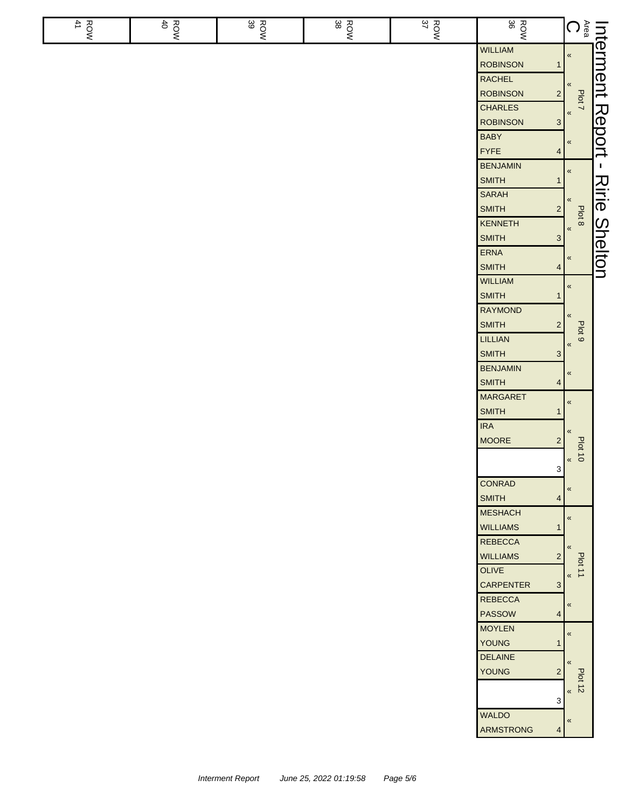| ROW | <b>ROW</b> | ROW<br>39 | ROW<br>38 | ROW<br>37 | ROW<br>36                                  | $\bigoplus\limits_{\alpha\in\mathbb{Q}}\, \mathbb{C}$ | Interment      |
|-----|------------|-----------|-----------|-----------|--------------------------------------------|-------------------------------------------------------|----------------|
|     |            |           |           |           | <b>WILLIAM</b>                             | $\pmb{\mathcal{R}}$                                   |                |
|     |            |           |           |           | <b>ROBINSON</b><br>$\mathbf{1}$            |                                                       |                |
|     |            |           |           |           | <b>RACHEL</b>                              | «                                                     |                |
|     |            |           |           |           | <b>ROBINSON</b><br>$\overline{\mathbf{c}}$ | Plot 7                                                |                |
|     |            |           |           |           | <b>CHARLES</b>                             | $\pmb{\kappa}$                                        | Report         |
|     |            |           |           |           | <b>ROBINSON</b><br>$\mathsf 3$             |                                                       |                |
|     |            |           |           |           | <b>BABY</b><br><b>FYFE</b>                 | $\pmb{\kappa}$                                        |                |
|     |            |           |           |           | 4<br><b>BENJAMIN</b>                       |                                                       | $\mathbf{I}$   |
|     |            |           |           |           | <b>SMITH</b><br>1                          | $\pmb{\mathcal{R}}$                                   |                |
|     |            |           |           |           | <b>SARAH</b>                               |                                                       | Ririe          |
|     |            |           |           |           | <b>SMITH</b><br>$\overline{c}$             | «                                                     |                |
|     |            |           |           |           | <b>KENNETH</b>                             | Plot 8<br>$\pmb{\kappa}$                              |                |
|     |            |           |           |           | <b>SMITH</b><br>$\ensuremath{\mathsf{3}}$  |                                                       |                |
|     |            |           |           |           | <b>ERNA</b>                                | $\pmb{\ll}$                                           | <b>Shelton</b> |
|     |            |           |           |           | <b>SMITH</b><br>4                          |                                                       |                |
|     |            |           |           |           | <b>WILLIAM</b>                             | $\pmb{\mathcal{R}}$                                   |                |
|     |            |           |           |           | <b>SMITH</b><br>$\mathbf 1$                |                                                       |                |
|     |            |           |           |           | <b>RAYMOND</b>                             | $\ll$                                                 |                |
|     |            |           |           |           | <b>SMITH</b><br>$\overline{2}$             | Plot <sub>9</sub>                                     |                |
|     |            |           |           |           | <b>LILLIAN</b>                             | $\pmb{\langle} \pmb{\langle}$                         |                |
|     |            |           |           |           | <b>SMITH</b><br>$\sqrt{3}$                 |                                                       |                |
|     |            |           |           |           | <b>BENJAMIN</b><br><b>SMITH</b><br>4       | $\pmb{\kappa}$                                        |                |
|     |            |           |           |           | <b>MARGARET</b>                            |                                                       |                |
|     |            |           |           |           | <b>SMITH</b><br>$\mathbf{1}$               | $\pmb{\mathcal{R}}$                                   |                |
|     |            |           |           |           | <b>IRA</b>                                 |                                                       |                |
|     |            |           |           |           | <b>MOORE</b><br>$\overline{c}$             | «                                                     |                |
|     |            |           |           |           |                                            | <b>Plot 10</b><br>$\pmb{\ll}$                         |                |
|     |            |           |           |           | 3                                          |                                                       |                |
|     |            |           |           |           | <b>CONRAD</b>                              | $\pmb{\kappa}$                                        |                |
|     |            |           |           |           | <b>SMITH</b><br>4                          |                                                       |                |
|     |            |           |           |           | <b>MESHACH</b>                             | $\pmb{\mathcal{R}}$                                   |                |
|     |            |           |           |           | <b>WILLIAMS</b><br>1                       |                                                       |                |
|     |            |           |           |           | <b>REBECCA</b>                             | $\overline{\mathbf{K}}$                               |                |
|     |            |           |           |           | <b>WILLIAMS</b><br>2                       | Plot 11                                               |                |
|     |            |           |           |           | <b>OLIVE</b><br><b>CARPENTER</b><br>3      | $\boldsymbol{\kappa}$                                 |                |
|     |            |           |           |           | <b>REBECCA</b>                             |                                                       |                |
|     |            |           |           |           | <b>PASSOW</b><br>4                         | $\pmb{\kappa}$                                        |                |
|     |            |           |           |           | <b>MOYLEN</b>                              |                                                       |                |
|     |            |           |           |           | <b>YOUNG</b><br>$\mathbf 1$                | $\pmb{\kappa}$                                        |                |
|     |            |           |           |           | <b>DELAINE</b>                             | «                                                     |                |
|     |            |           |           |           | <b>YOUNG</b><br>$\overline{c}$             |                                                       |                |
|     |            |           |           |           |                                            | <b>Plot 12</b><br>$\pmb{\kappa}$                      |                |
|     |            |           |           |           | 3                                          |                                                       |                |
|     |            |           |           |           | <b>WALDO</b>                               | «                                                     |                |
|     |            |           |           |           | <b>ARMSTRONG</b><br>$\overline{4}$         |                                                       |                |